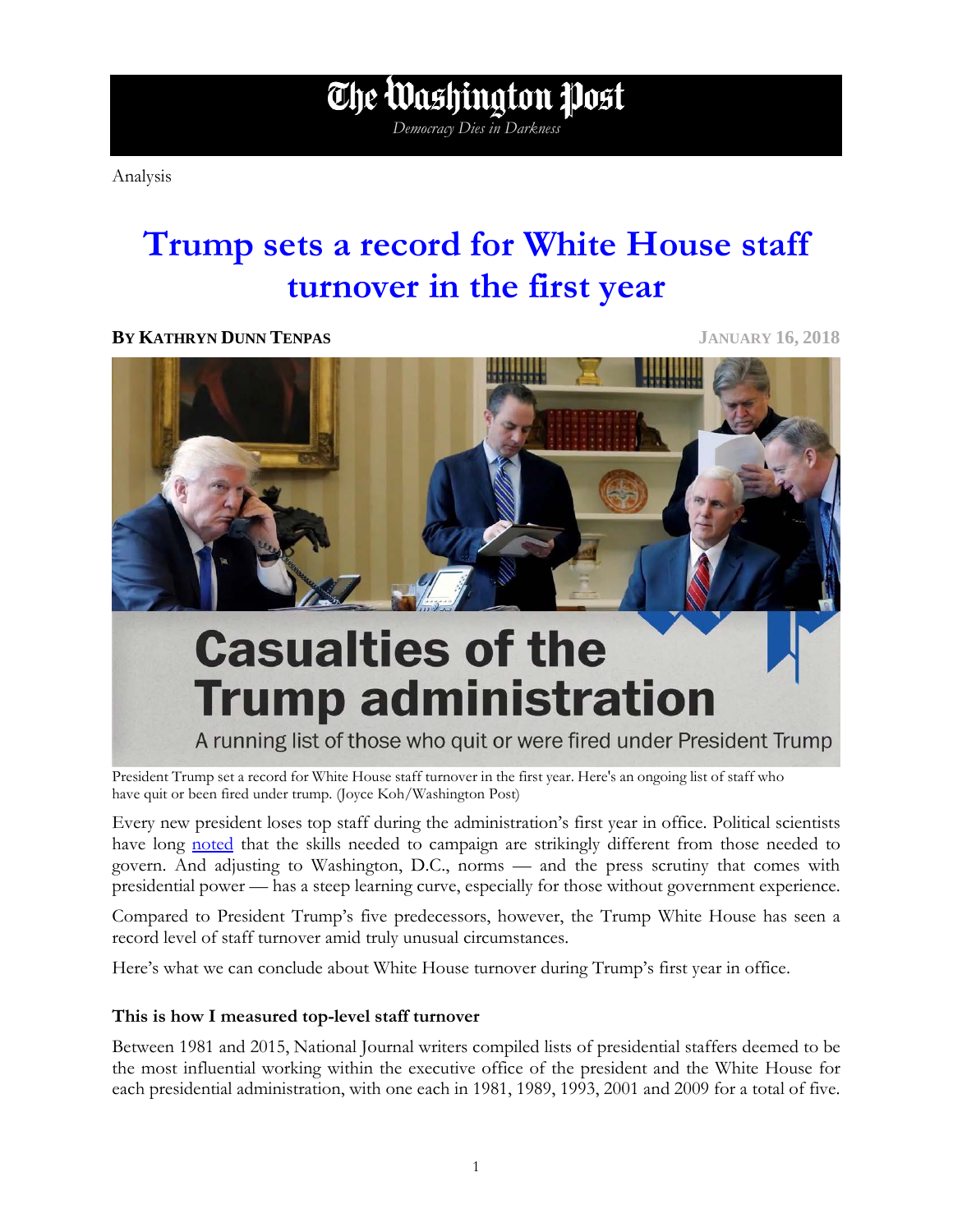Analysis

### **Trump sets a record for White House staff turnover in the first year**

*Democracy Dies in Darkness*

The Washington Post

**BY KATHRYN DUNN TENPAS JANUARY 16, 2018**



President Trump set a record for White House staff turnover in the first year. Here's an ongoing list of staff who have quit or been fired under trump. (Joyce Koh/Washington Post)

Every new president loses top staff during the administration's first year in office. Political scientists have long [noted](http://onlinelibrary.wiley.com/doi/10.1111/1468-2508.00133/abstract) that the skills needed to campaign are strikingly different from those needed to govern. And adjusting to Washington, D.C., norms — and the press scrutiny that comes with presidential power — has a steep learning curve, especially for those without government experience.

Compared to President Trump's five predecessors, however, the Trump White House has seen a record level of staff turnover amid truly unusual circumstances.

Here's what we can conclude about White House turnover during Trump's first year in office.

#### **This is how I measured top-level staff turnover**

Between 1981 and 2015, National Journal writers compiled lists of presidential staffers deemed to be the most influential working within the executive office of the president and the White House for each presidential administration, with one each in 1981, 1989, 1993, 2001 and 2009 for a total of five.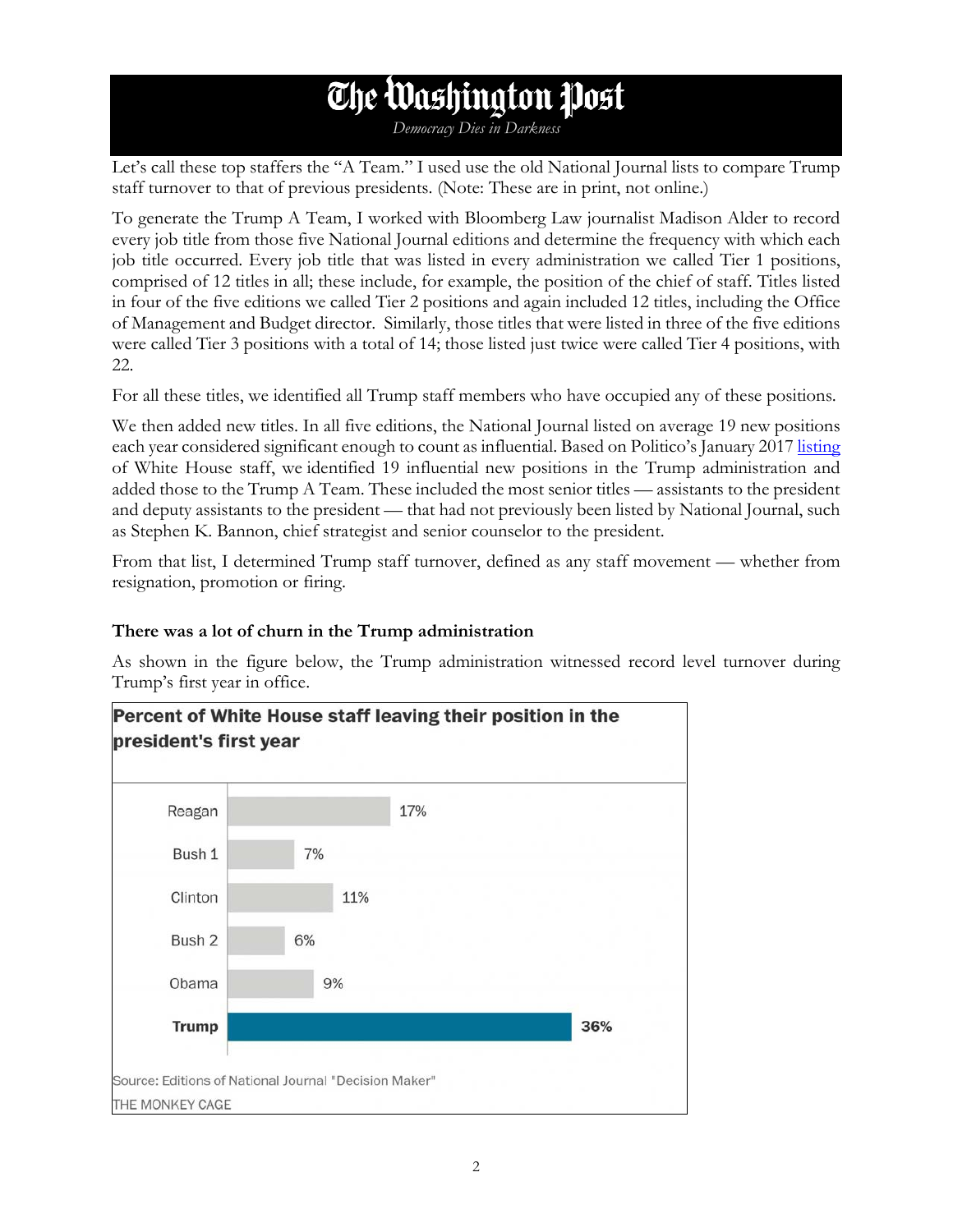## The Washington Post

*Democracy Dies in Darkness*

Let's call these top staffers the "A Team." I used use the old National Journal lists to compare Trump staff turnover to that of previous presidents. (Note: These are in print, not online.)

To generate the Trump A Team, I worked with Bloomberg Law journalist Madison Alder to record every job title from those five National Journal editions and determine the frequency with which each job title occurred. Every job title that was listed in every administration we called Tier 1 positions, comprised of 12 titles in all; these include, for example, the position of the chief of staff. Titles listed in four of the five editions we called Tier 2 positions and again included 12 titles, including the Office of Management and Budget director. Similarly, those titles that were listed in three of the five editions were called Tier 3 positions with a total of 14; those listed just twice were called Tier 4 positions, with 22.

For all these titles, we identified all Trump staff members who have occupied any of these positions.

We then added new titles. In all five editions, the National Journal listed on average 19 new positions each year considered significant enough to count as influential. Based on Politico's January 201[7 listing](http://static.politico.com/8d/b5/2d5f32fd472bb46d06c07da0b8fa/170125-trump-white-house-staff-1-25-17-1.pdf) of White House staff, we identified 19 influential new positions in the Trump administration and added those to the Trump A Team. These included the most senior titles — assistants to the president and deputy assistants to the president — that had not previously been listed by National Journal, such as Stephen K. Bannon, chief strategist and senior counselor to the president.

From that list, I determined Trump staff turnover, defined as any staff movement — whether from resignation, promotion or firing.

#### **There was a lot of churn in the Trump administration**

As shown in the figure below, the Trump administration witnessed record level turnover during Trump's first year in office.



### Percent of White House staff leaving their position in the president's first year